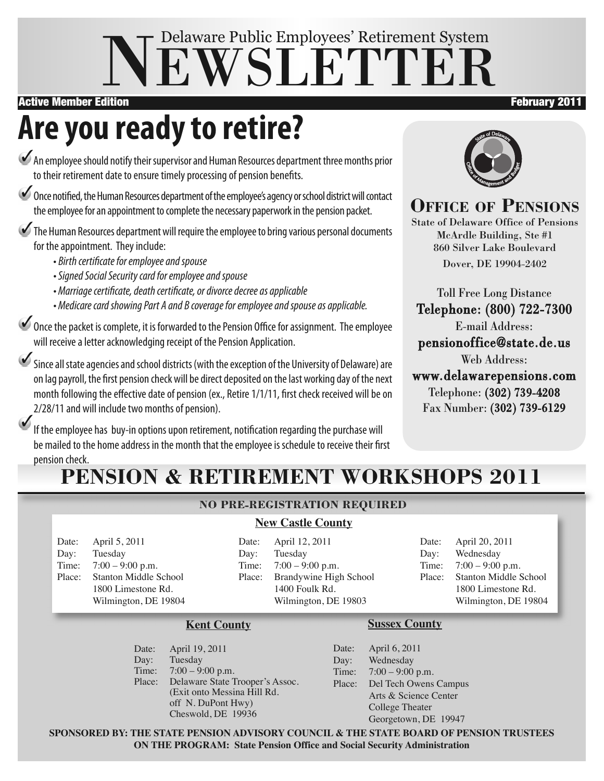# NEWSLETTER Delaware Public Employees' Retirement System

#### Active Member Edition **February 2011**

# **Are you readyto retire?**

An employee should notify their supervisor and Human Resources department three months prior to their retirement date to ensure timely processing of pension benefits.

Once notified, the Human Resources department of the employee's agency or school district will contact the employee for an appointment to complete the necessary paperwork in the pension packet.

The Human Resources department will require the employee to bring various personal documents for the appointment. They include:

- Birth certificate for employee and spouse
- Signed Social Security card for employee and spouse
- Marriage certificate, death certificate, or divorce decree as applicable
- Medicare card showing Part A and B coverage for employee and spouse as applicable.

Once the packet is complete, it is forwarded to the Pension Office for assignment. The employee will receive a letter acknowledging receipt of the Pension Application.

Since all state agencies and school districts (with the exception of the University of Delaware) are on lag payroll, the first pension check will be direct deposited on the last working day of the next month following the effective date of pension (ex., Retire 1/1/11, first check received will be on 2/28/11 and will include two months of pension).

If the employee has buy-in options upon retirement, notification regarding the purchase will be mailed to the home address in the month that the employee is schedule to receive their first pension check.

# **PENSION & RETIREMENT WORKSHOPS 2011**

### **NO PRE-REGISTRATION REQUIRED**

### **New Castle County**

Date: April 5, 2011 Day: Tuesday Time: 7:00 – 9:00 p.m. Place: Stanton Middle School 1800 Limestone Rd. Wilmington, DE 19804 Date: April 12, 2011 Day: Tuesday Time: 7:00 – 9:00 p.m. Place: Brandywine High School 1400 Foulk Rd. Wilmington, DE 19803

Date: April 20, 2011 Day: Wednesday Time: 7:00 – 9:00 p.m. Place: Stanton Middle School 1800 Limestone Rd. Wilmington, DE 19804

#### **Kent County**

Date: April 19, 2011 Day: Tuesday Time: 7:00 – 9:00 p.m. Place: Delaware State Trooper's Assoc. (Exit onto Messina Hill Rd. off N. DuPont Hwy) Cheswold, DE 19936

#### **Sussex County**

Date: April 6, 2011 Day: Wednesday Time: 7:00 – 9:00 p.m. Place: Del Tech Owens Campus Arts & Science Center College Theater Georgetown, DE 19947

**SPONSORED BY: THE STATE PENSION ADVISORY COUNCIL & THE STATE BOARD OF PENSION TRUSTEES ON THE PROGRAM: State Pension Office and Social Security Administration**



### **OFFICE OF PENSIONS**

State of Delaware Office of Pensions McArdle Building, Ste #1 860 Silver Lake Boulevard Dover, DE 19904-2402

Toll Free Long Distance Telephone: (800) 722-7300 E-mail Address: pensionoffice@state.de.us Web Address:

www.delawarepensions.com Telephone: (302) 739-4208 Fax Number: (302) 739-6129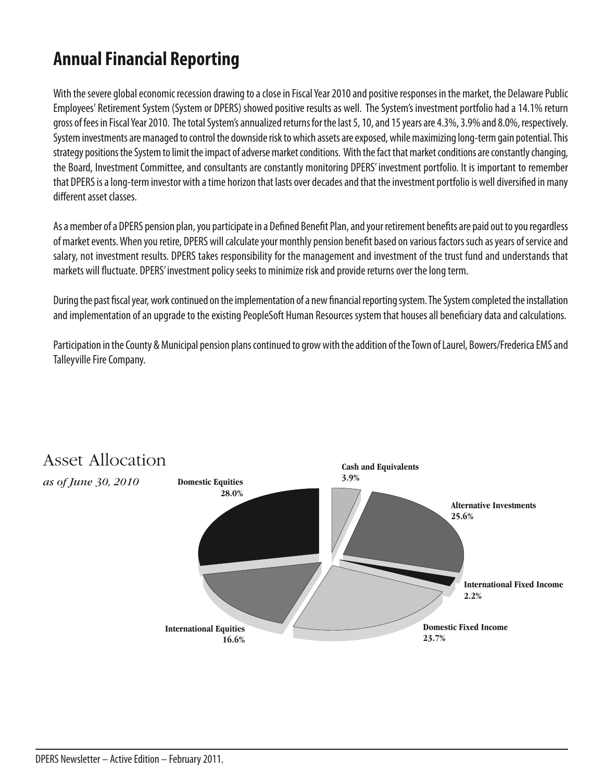## **Annual Financial Reporting**

With the severe global economic recession drawing to a close in Fiscal Year 2010 and positive responses in the market, the Delaware Public Employees' Retirement System (System or DPERS) showed positive results as well. The System's investment portfolio had a 14.1% return gross of fees in Fiscal Year 2010. The total System's annualized returns for the last 5, 10, and 15 years are 4.3%, 3.9% and 8.0%, respectively. System investments are managed to control the downside risk to which assets are exposed, while maximizing long-term gain potential. This strategy positions the System to limit the impact of adverse market conditions. With the fact that market conditions are constantly changing, the Board, Investment Committee, and consultants are constantly monitoring DPERS' investment portfolio. It is important to remember that DPERS is a long-term investor with a time horizon that lasts over decades and that the investment portfolio is well diversified in many different asset classes.

As a member of a DPERS pension plan, you participate in a Defined Benefit Plan, and your retirement benefits are paid out to you regardless of market events. When you retire, DPERS will calculate your monthly pension benefit based on various factors such as years of service and salary, not investment results. DPERS takes responsibility for the management and investment of the trust fund and understands that markets will fluctuate. DPERS' investment policy seeks to minimize risk and provide returns over the long term.

During the past fiscal year, work continued on the implementation of a new financial reporting system. The System completed the installation and implementation of an upgrade to the existing PeopleSoft Human Resources system that houses all beneficiary data and calculations.

Participation in the County & Municipal pension plans continued to grow with the addition of the Town of Laurel, Bowers/Frederica EMS and Talleyville Fire Company.



#### DPERS Newsletter - Active Edition - February 2011.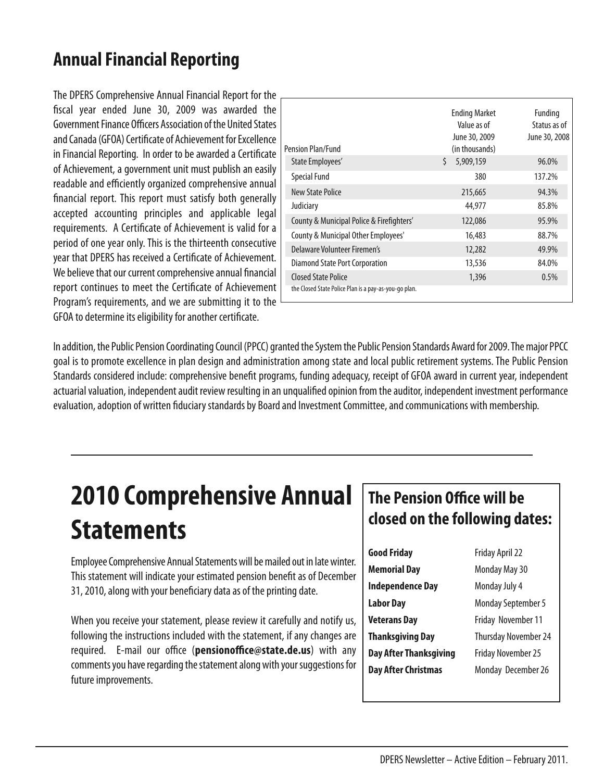## **Annual Financial Reporting**

The DPERS Comprehensive Annual Financial Report for the fiscal year ended June 30, 2009 was awarded the Government Finance Officers Association of the United States and Canada (GFOA) Certificate of Achievement for Excellence in Financial Reporting. In order to be awarded a Certificate of Achievement, a government unit must publish an easily readable and efficiently organized comprehensive annual financial report. This report must satisfy both generally accepted accounting principles and applicable legal requirements. A Certificate of Achievement is valid for a period of one year only.This is the thirteenth consecutive year that DPERS has received a Certificate of Achievement. We believe that our current comprehensive annual financial report continues to meet the Certificate of Achievement Program's requirements, and we are submitting it to the GFOA to determine its eligibility for another certificate.

| Pension Plan/Fund                                     | <b>Ending Market</b><br>Value as of<br>June 30, 2009<br>(in thousands) | Funding<br>Status as of<br>June 30, 2008 |
|-------------------------------------------------------|------------------------------------------------------------------------|------------------------------------------|
| State Employees'                                      | Ś.<br>5,909,159                                                        | 96.0%                                    |
| <b>Special Fund</b>                                   | 380                                                                    | 137.2%                                   |
| New State Police                                      | 215,665                                                                | 94.3%                                    |
| Judiciary                                             | 44.977                                                                 | 85.8%                                    |
| County & Municipal Police & Firefighters'             | 122,086                                                                | 95.9%                                    |
| County & Municipal Other Employees'                   | 16,483                                                                 | 88.7%                                    |
| Delaware Volunteer Firemen's                          | 12,282                                                                 | 49.9%                                    |
| Diamond State Port Corporation                        | 13,536                                                                 | 84.0%                                    |
| <b>Closed State Police</b>                            | 1,396                                                                  | 0.5%                                     |
| the Closed State Police Plan is a pay-as-you-go plan. |                                                                        |                                          |

In addition, the Public Pension Coordinating Council (PPCC) granted the System the Public Pension Standards Award for 2009. The major PPCC goal is to promote excellence in plan design and administration among state and local public retirement systems.The Public Pension Standards considered include: comprehensive benefit programs, funding adequacy, receipt of GFOA award in current year, independent actuarial valuation, independent audit review resulting in an unqualified opinion from the auditor, independent investment performance evaluation, adoption of written fiduciary standards by Board and Investment Committee, and communications with membership.

# **2010 Comprehensive Annual Statements**

Employee Comprehensive Annual Statements will be mailed out in late winter. This statement will indicate your estimated pension benefit as of December 31, 2010, along with your beneficiary data as of the printing date.

When you receive your statement, please review it carefully and notify us, following the instructions included with the statement, if any changes are required. E-mail our office (**pensionoffice@state.de.us**) with any comments you have regarding the statement along with your suggestions for future improvements.

### **The Pension Office will be closed on the following dates:**

| <b>Good Friday</b>      | Friday April 22             |  |
|-------------------------|-----------------------------|--|
| <b>Memorial Day</b>     | Monday May 30               |  |
| <b>Independence Day</b> | Monday July 4               |  |
| <b>Labor Day</b>        | <b>Monday September 5</b>   |  |
| <b>Veterans Day</b>     | Friday November 11          |  |
| <b>Thanksgiving Day</b> | <b>Thursday November 24</b> |  |
| Day After Thanksgiving  | <b>Friday November 25</b>   |  |
| Day After Christmas     | Monday December 26          |  |
|                         |                             |  |